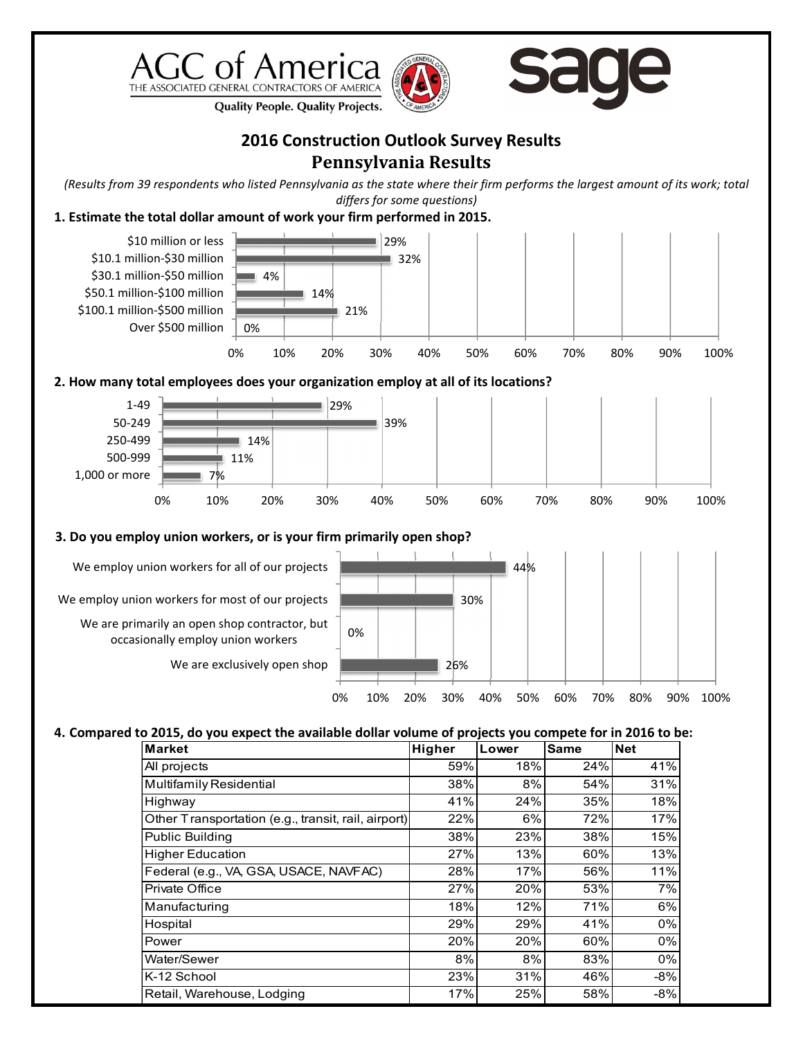





**Quality People. Quality Projects.** 

## **2016 Construction Outlook Survey Results Pennsylvania Results**

*(Results from 39 respondents who listed Pennsylvania as the state where their firm performs the largest amount of its work; total differs for some questions)*

## **1. Estimate the total dollar amount of work your firm performed in 2015.**



## **4. Compared to 2015, do you expect the available dollar volume of projects you compete for in 2016 to be:**

| <b>Market</b>                                       | Higher | Lower | <b>Same</b> | <b>Net</b> |
|-----------------------------------------------------|--------|-------|-------------|------------|
| All projects                                        | 59%    | 18%   | 24%         | 41%        |
| <b>Multifamily Residential</b>                      | 38%    | 8%    | 54%         | 31%        |
| Highway                                             | 41%    | 24%   | 35%         | 18%        |
| Other Transportation (e.g., transit, rail, airport) | 22%    | 6%    | 72%         | 17%        |
| <b>Public Building</b>                              | 38%    | 23%   | 38%         | 15%        |
| <b>Higher Education</b>                             | 27%    | 13%   | 60%         | 13%        |
| Federal (e.g., VA, GSA, USACE, NAVFAC)              | 28%    | 17%   | 56%         | 11%        |
| Private Office                                      | 27%    | 20%   | 53%         | 7%         |
| Manufacturing                                       | 18%    | 12%   | 71%         | 6%         |
| Hospital                                            | 29%    | 29%   | 41%         | 0%         |
| Power                                               | 20%    | 20%   | 60%         | 0%         |
| Water/Sewer                                         | 8%     | 8%    | 83%         | 0%         |
| K-12 School                                         | 23%    | 31%   | 46%         | $-8%$      |
| Retail, Warehouse, Lodging                          | 17%    | 25%   | 58%         | $-8%$      |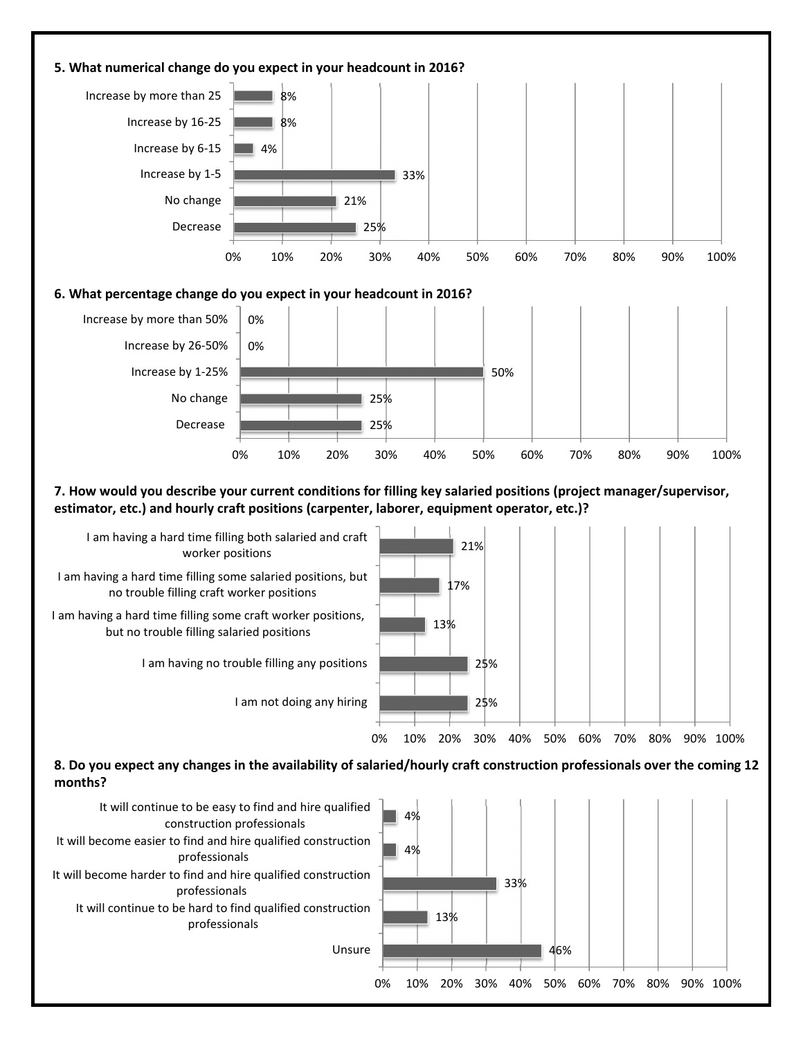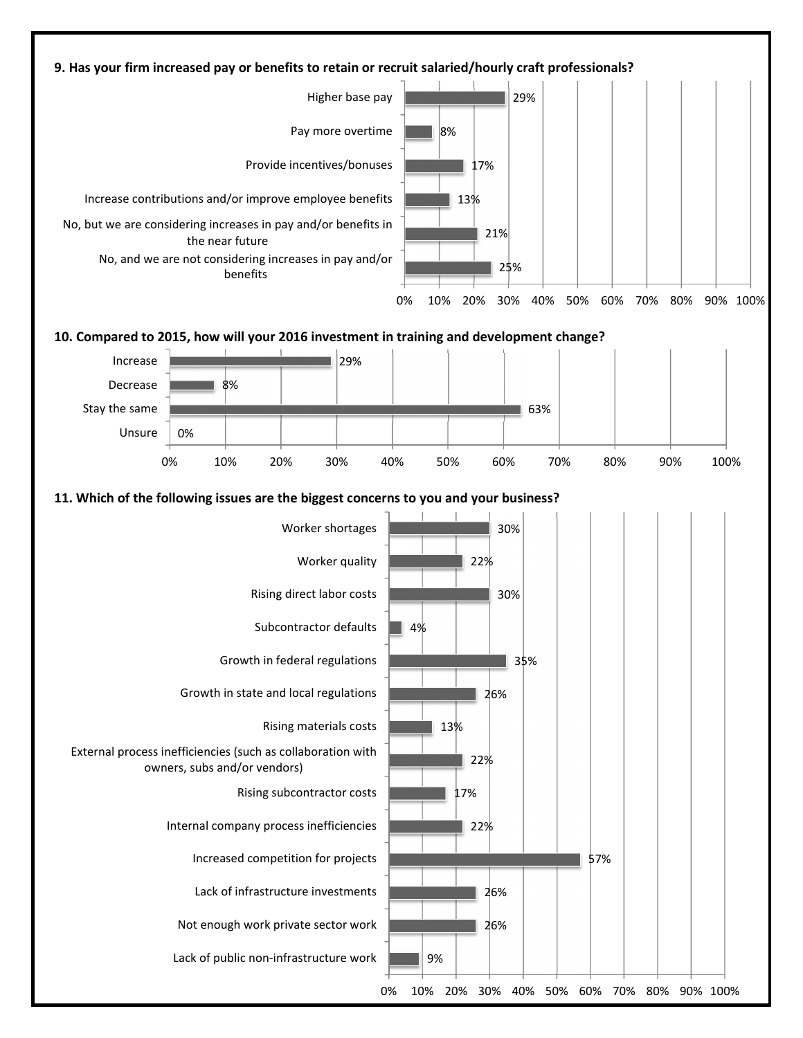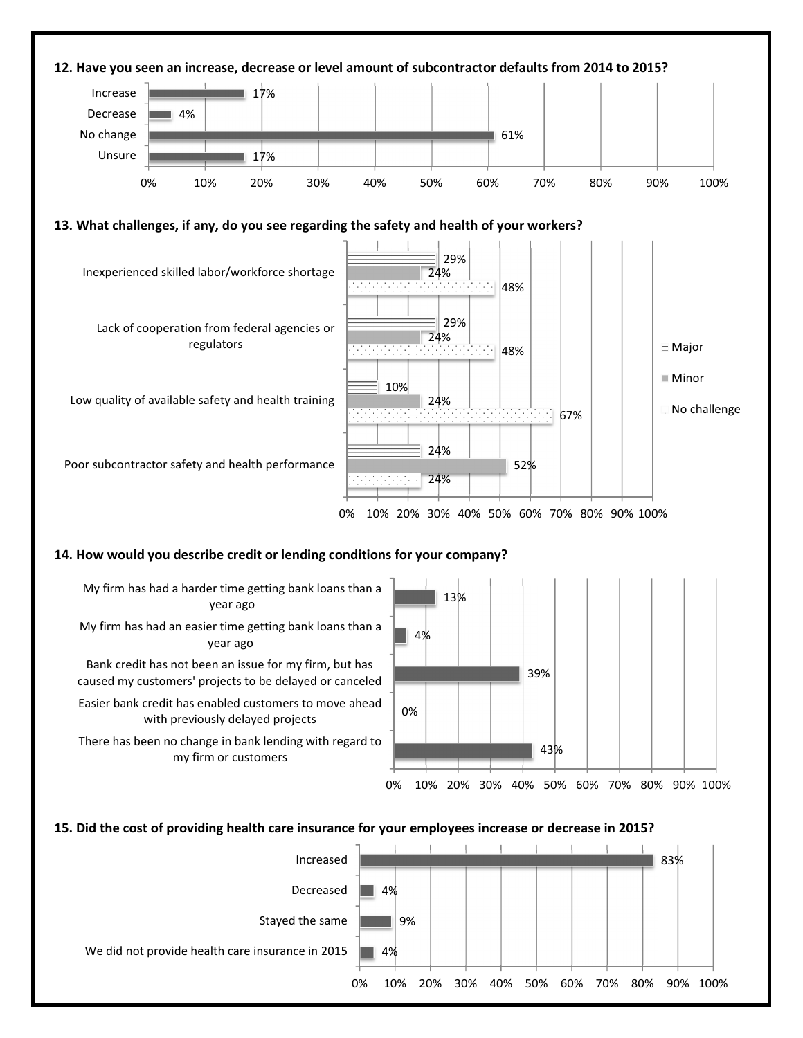

**15. Did the cost of providing health care insurance for your employees increase or decrease in 2015?** 

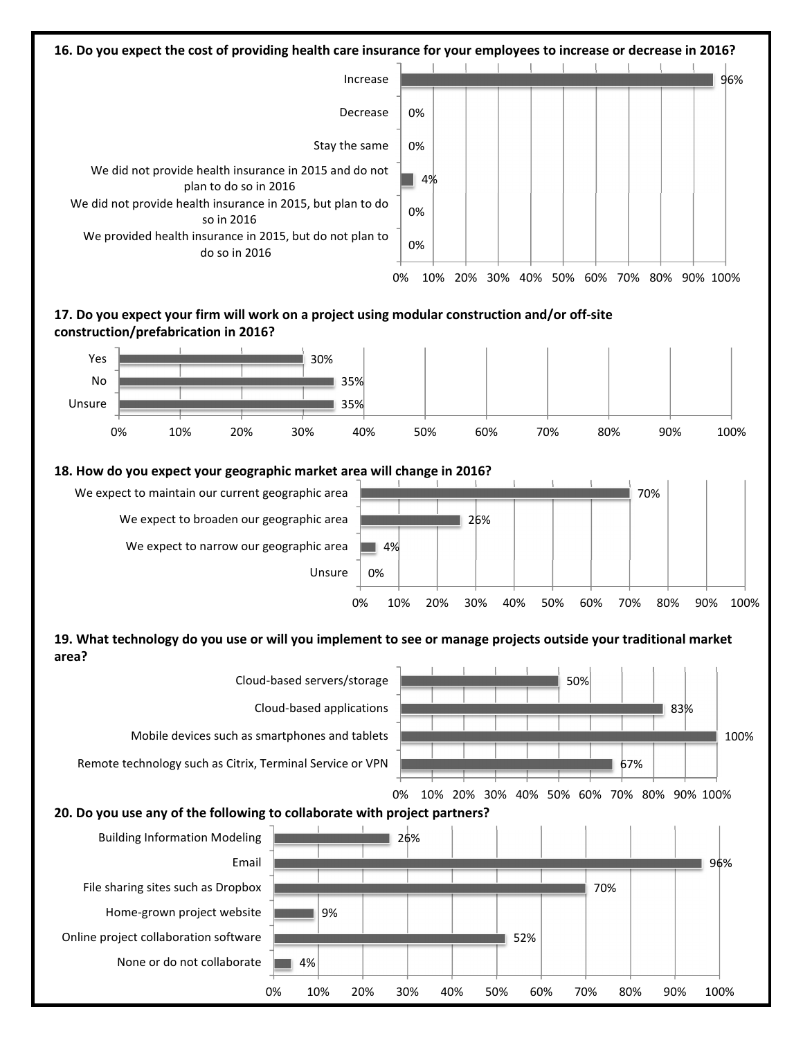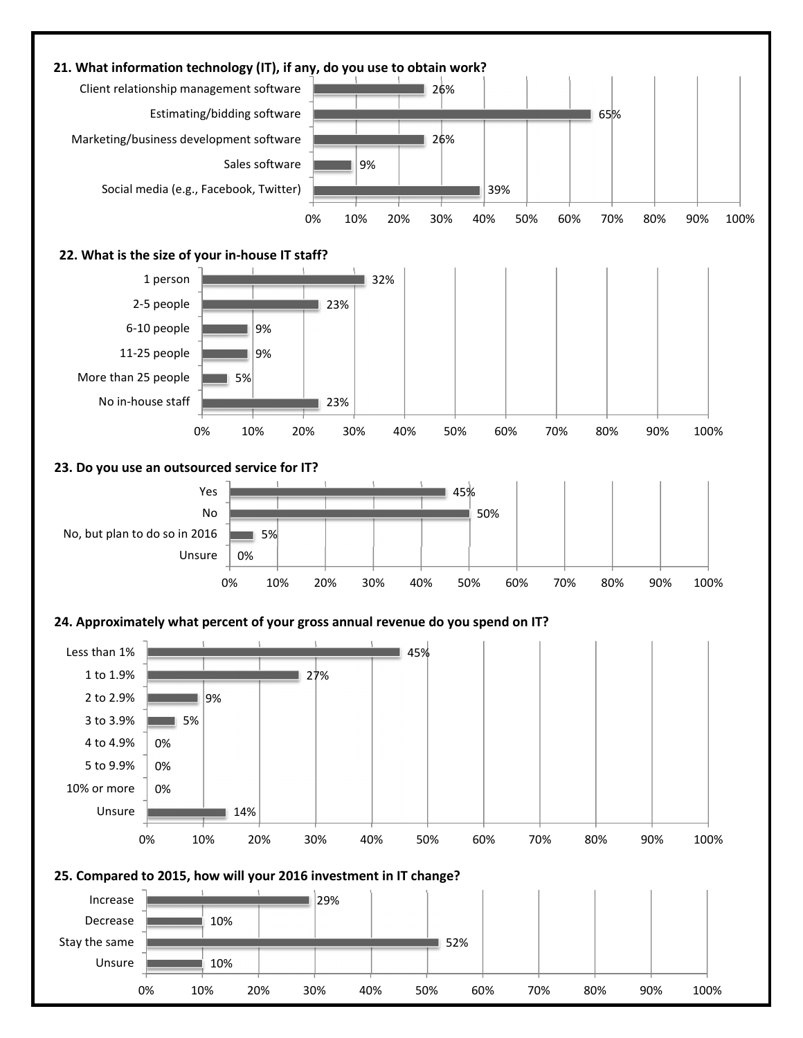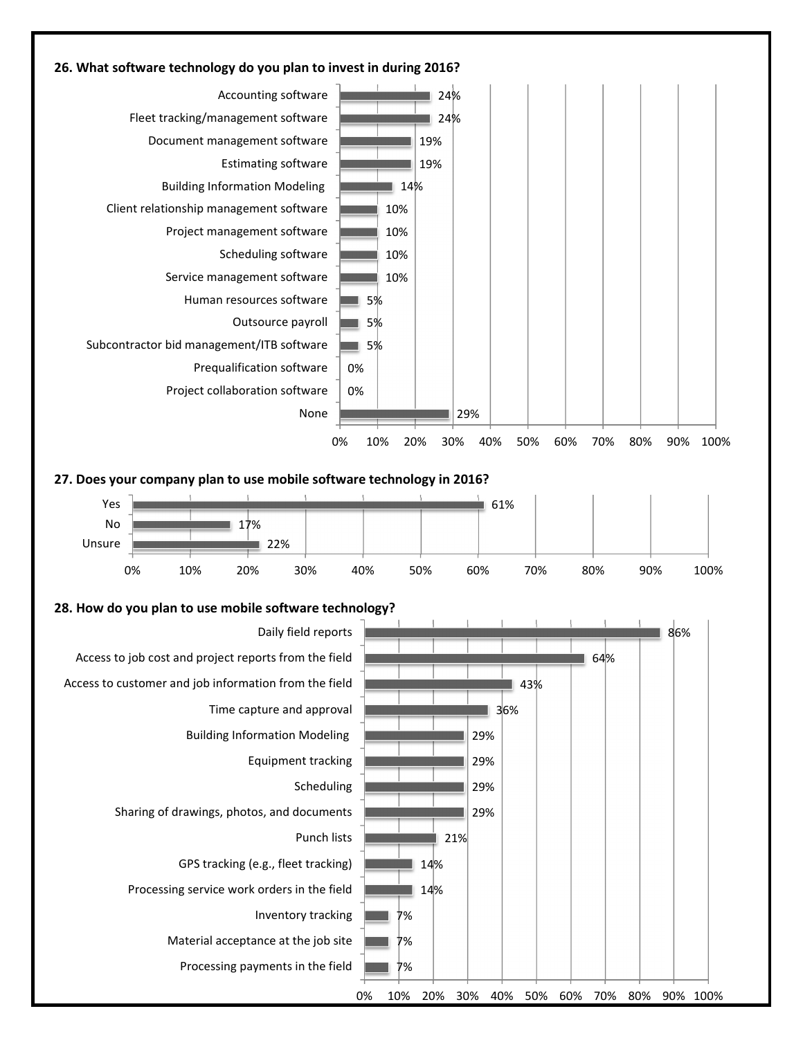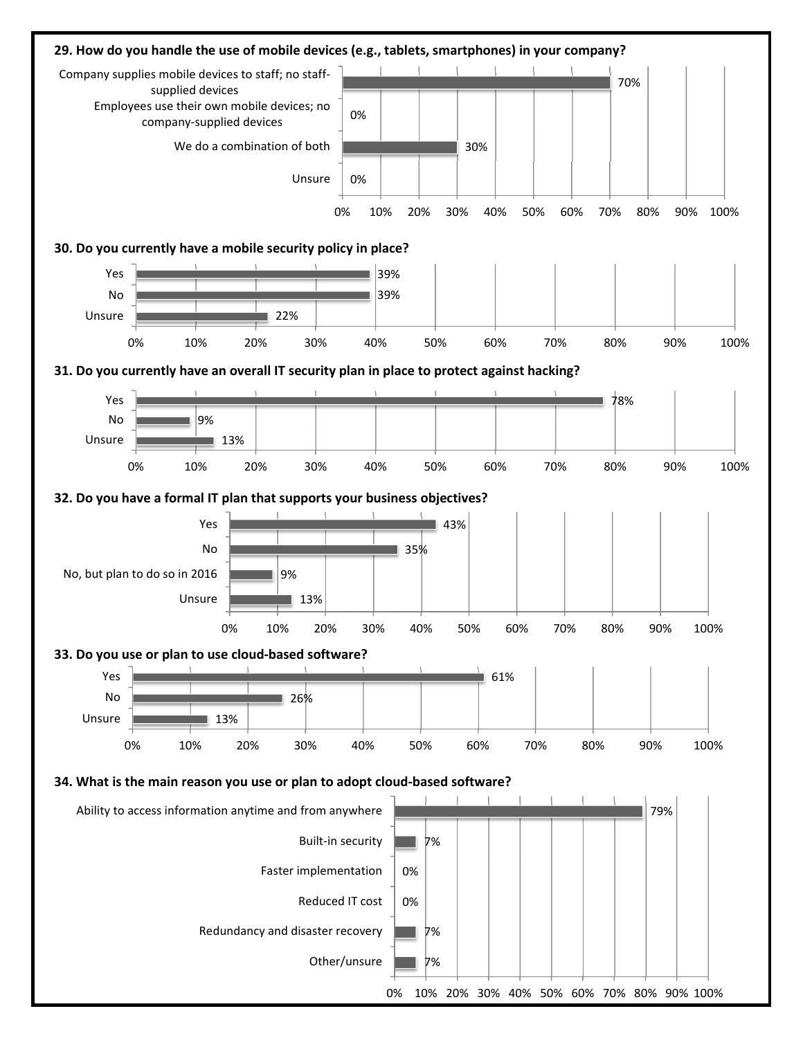